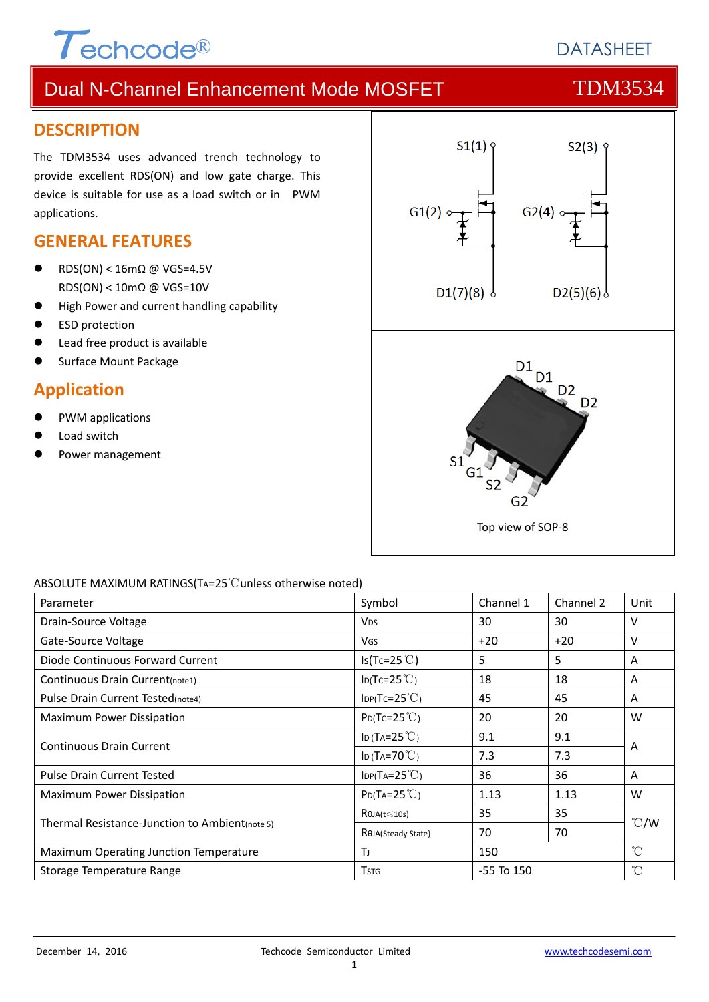

## **DATASHEFT**

# Dual N-Channel Enhancement Mode MOSFET TOM3534

### **DESCRIPTION**

The TDM3534 uses advanced trench technology to provide excellent RDS(ON) and low gate charge. This device is suitable for use as a load switch or in PWM applications.

### **GENERAL FEATURES**

- RDS(ON) < 16mΩ @ VGS=4.5V RDS(ON) < 10mΩ @ VGS=10V
- High Power and current handling capability
- ESD protection
- Lead free product is available
- Surface Mount Package

### **Application**

- PWM applications
- Load switch
- Power management



#### ABSOLUTE MAXIMUM RATINGS(TA=25℃unless otherwise noted)

| Parameter                                      | Symbol                     | Channel 1      | Channel 2 | Unit          |  |
|------------------------------------------------|----------------------------|----------------|-----------|---------------|--|
| Drain-Source Voltage                           | <b>V</b> <sub>DS</sub>     | 30             | 30        | V             |  |
| Gate-Source Voltage                            | <b>V<sub>GS</sub></b>      | $+20$          | $+20$     | V             |  |
| Diode Continuous Forward Current               | $Is(Tc=25^{\circ}C)$       | 5              | 5.        | A             |  |
| Continuous Drain Current(note1)                | $I_D(Tc=25^{\circ}C)$      | 18             | 18        | A             |  |
| Pulse Drain Current Tested(note4)              | $IDP(Tc=25^{\circ}C)$      | 45             | 45        | A             |  |
| Maximum Power Dissipation                      | $P_{D}(Tc=25^{\circ}C)$    | 20             | 20        | W             |  |
| <b>Continuous Drain Current</b>                | ID (TA= $25^{\circ}$ C)    | 9.1            | 9.1       | A             |  |
|                                                | ID (TA=70 $°C$ )           | 7.3            | 7.3       |               |  |
| <b>Pulse Drain Current Tested</b>              | $IDP(TA=25^{\circ}C)$      | 36             | 36        | A             |  |
| Maximum Power Dissipation                      | $P_{D}(Ta=25^{\circ}C)$    | 1.13           | 1.13      | W             |  |
|                                                | $R\theta$ JA(t $\leq$ 10s) | 35             | 35        | $\degree$ C/W |  |
| Thermal Resistance-Junction to Ambient(note 5) | ROJA(Steady State)         | 70             | 70        |               |  |
| Maximum Operating Junction Temperature         | TJ                         | 150            |           | $^{\circ}$ C  |  |
| Storage Temperature Range                      | <b>T</b> stg               | $-55$ To $150$ |           | °C            |  |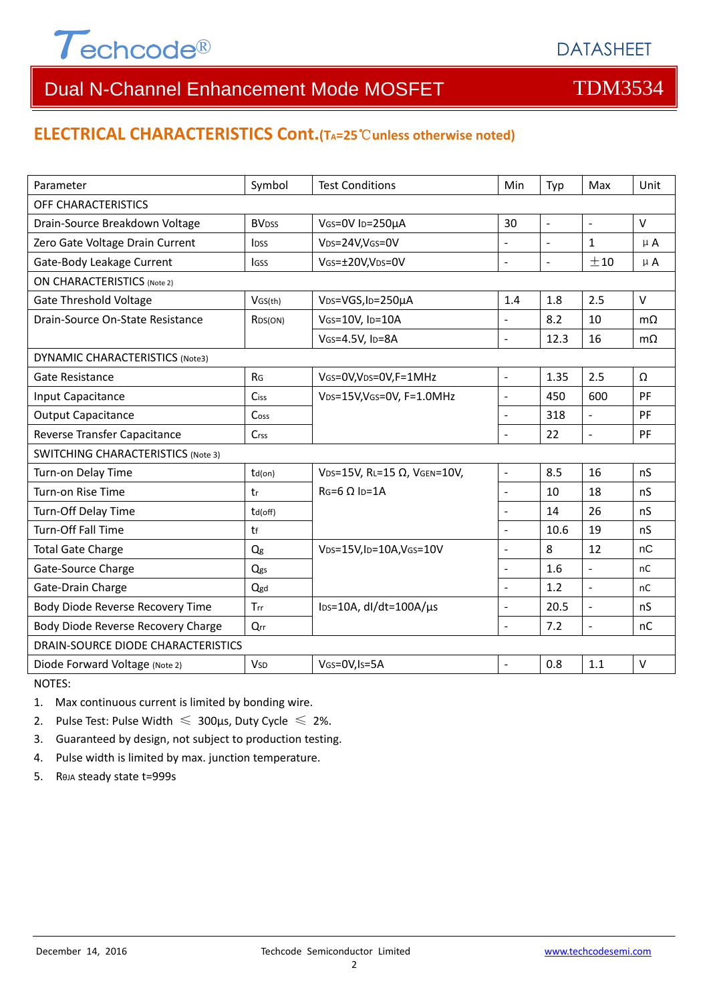

## Dual N-Channel Enhancement Mode MOSFET TDM3534

### **ELECTRICAL CHARACTERISTICS Cont.(TA=25**℃**unless otherwise noted)**

| Parameter                                 | Symbol                   | <b>Test Conditions</b>                        | Min            | Typ                      | Max            | Unit      |  |  |
|-------------------------------------------|--------------------------|-----------------------------------------------|----------------|--------------------------|----------------|-----------|--|--|
| OFF CHARACTERISTICS                       |                          |                                               |                |                          |                |           |  |  |
| Drain-Source Breakdown Voltage            | <b>BV</b> <sub>DSS</sub> | VGS=0V ID=250µA                               | 30             | $\blacksquare$           | $\blacksquare$ | $\vee$    |  |  |
| Zero Gate Voltage Drain Current           | <b>l</b> <sub>pss</sub>  | V <sub>DS</sub> =24V,V <sub>GS</sub> =0V      |                | $\overline{\phantom{a}}$ | $\mathbf{1}$   | $\mu$ A   |  |  |
| Gate-Body Leakage Current                 | lgss                     | VGS=±20V,VDS=0V                               |                | $\mathbb{L}$             | ±10            | $\mu$ A   |  |  |
| <b>ON CHARACTERISTICS (Note 2)</b>        |                          |                                               |                |                          |                |           |  |  |
| <b>Gate Threshold Voltage</b>             | VGS(th)                  | V <sub>DS</sub> =VGS, I <sub>D</sub> =250µA   | 1.4            | 1.8                      | 2.5            | $\vee$    |  |  |
| Drain-Source On-State Resistance          | R <sub>DS</sub> (ON)     | VGS=10V, ID=10A                               | $\overline{a}$ | 8.2                      | 10             | $m\Omega$ |  |  |
|                                           |                          | VGS=4.5V, ID=8A                               | $\overline{a}$ | 12.3                     | 16             | $m\Omega$ |  |  |
| <b>DYNAMIC CHARACTERISTICS (Note3)</b>    |                          |                                               |                |                          |                |           |  |  |
| Gate Resistance                           | R <sub>G</sub>           | VGS=0V, VDS=0V, F=1MHz                        | $\frac{1}{2}$  | 1.35                     | 2.5            | Ω         |  |  |
| Input Capacitance                         | Ciss                     | VDS=15V, VGS=0V, F=1.0MHz                     | ÷,             | 450                      | 600            | PF        |  |  |
| <b>Output Capacitance</b>                 | Coss                     |                                               | L.             | 318                      | $\overline{a}$ | PF        |  |  |
| Reverse Transfer Capacitance              | Crss                     |                                               | $\overline{a}$ | 22                       | $\overline{a}$ | PF        |  |  |
| <b>SWITCHING CHARACTERISTICS (Note 3)</b> |                          |                                               |                |                          |                |           |  |  |
| Turn-on Delay Time                        | $td($ on $)$             | VDS=15V, RL=15 Ω, VGEN=10V,                   | $\overline{a}$ | 8.5                      | 16             | nS        |  |  |
| Turn-on Rise Time                         | tr                       | $RG=6 \Omega$ Ip=1A                           | $\overline{a}$ | 10                       | 18             | nS        |  |  |
| Turn-Off Delay Time                       | td(off)                  |                                               | $\overline{a}$ | 14                       | 26             | nS        |  |  |
| Turn-Off Fall Time                        | tf                       |                                               | $\overline{a}$ | 10.6                     | 19             | nS        |  |  |
| <b>Total Gate Charge</b>                  | Q <sub>g</sub>           | $V_{DS}=15V$ , ID=10A, VGS=10V                |                | 8                        | 12             | nC        |  |  |
| Gate-Source Charge                        | Qgs                      |                                               | $\overline{a}$ | 1.6                      | $\overline{a}$ | nC        |  |  |
| Gate-Drain Charge                         | Qgd                      |                                               | $\overline{a}$ | 1.2                      | $\overline{a}$ | nC        |  |  |
| Body Diode Reverse Recovery Time          | Trr                      | $\text{los}=10\text{A}$ , dl/dt=100A/ $\mu$ s | ÷,             | 20.5                     | $\overline{a}$ | nS        |  |  |
| Body Diode Reverse Recovery Charge        | $Q_{rr}$                 |                                               | $\overline{a}$ | 7.2                      | $\blacksquare$ | nC        |  |  |
| DRAIN-SOURCE DIODE CHARACTERISTICS        |                          |                                               |                |                          |                |           |  |  |
| Diode Forward Voltage (Note 2)            | <b>V<sub>SD</sub></b>    | VGS=0V, Is=5A                                 |                | 0.8                      | 1.1            | $\vee$    |  |  |

NOTES:

1. Max continuous current is limited by bonding wire.

2. Pulse Test: Pulse Width  $\leq 300$ μs, Duty Cycle  $\leq 2\%$ .

3. Guaranteed by design, not subject to production testing.

4. Pulse width is limited by max. junction temperature.

5. RθJA steady state t=999s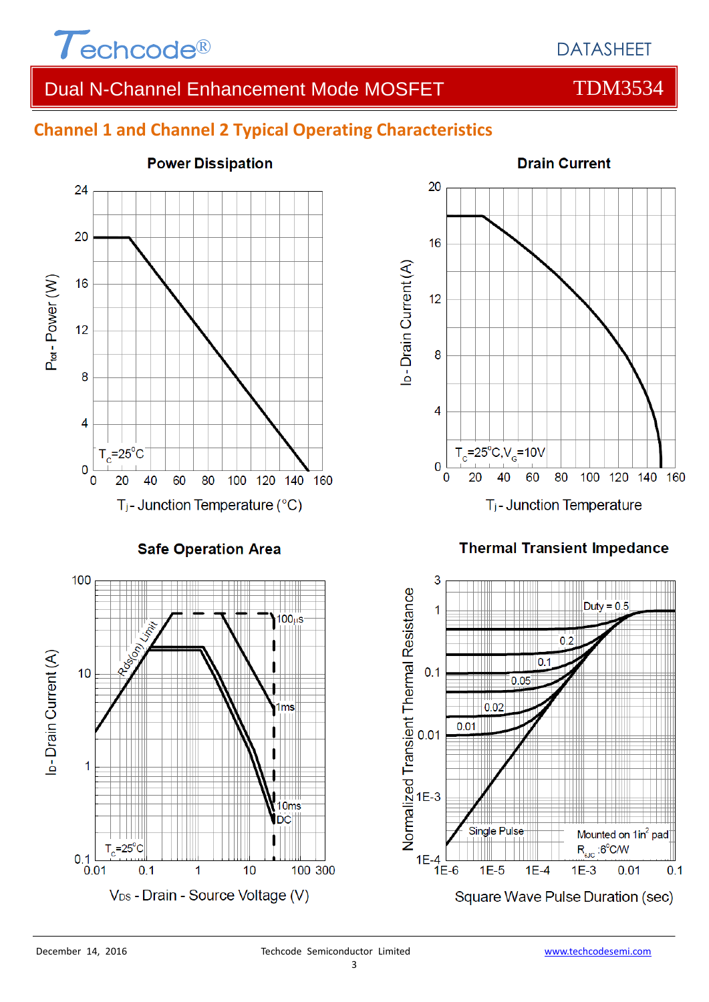

## DATASHEET

## Dual N-Channel Enhancement Mode MOSFET TOM3534

## **Channel 1 and Channel 2 Typical Operating Characteristics**



**Safe Operation Area** 





### **Thermal Transient Impedance**

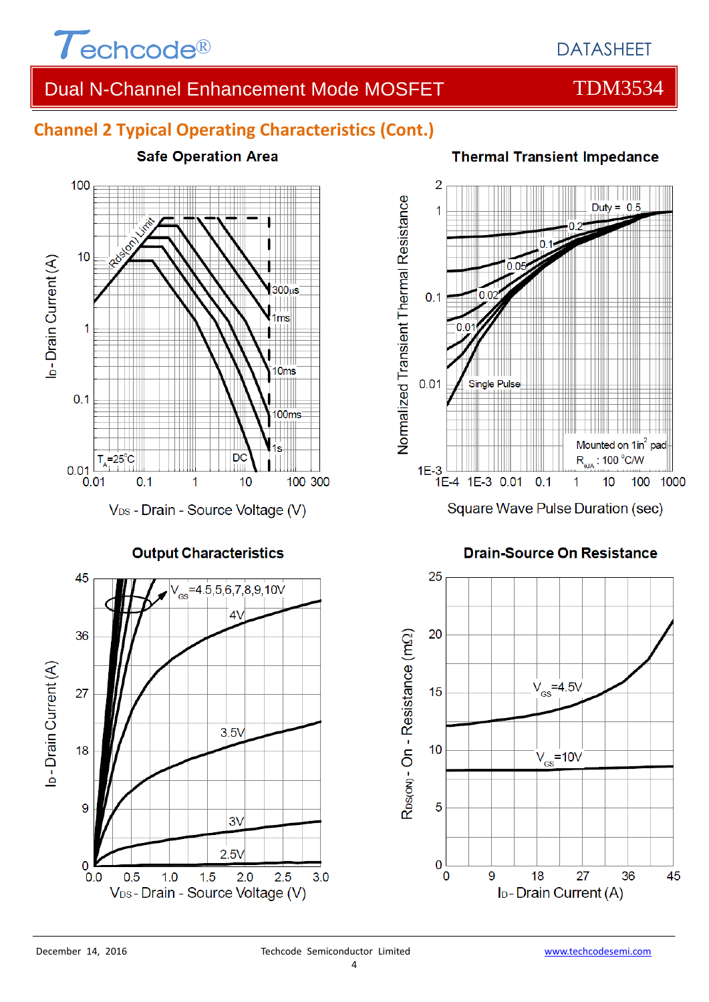

## Dual N-Channel Enhancement Mode MOSFET TOM3534

## **Channel 2 Typical Operating Characteristics (Cont.)**



**Output Characteristics** 



### **Thermal Transient Impedance**



#### **Drain-Source On Resistance**

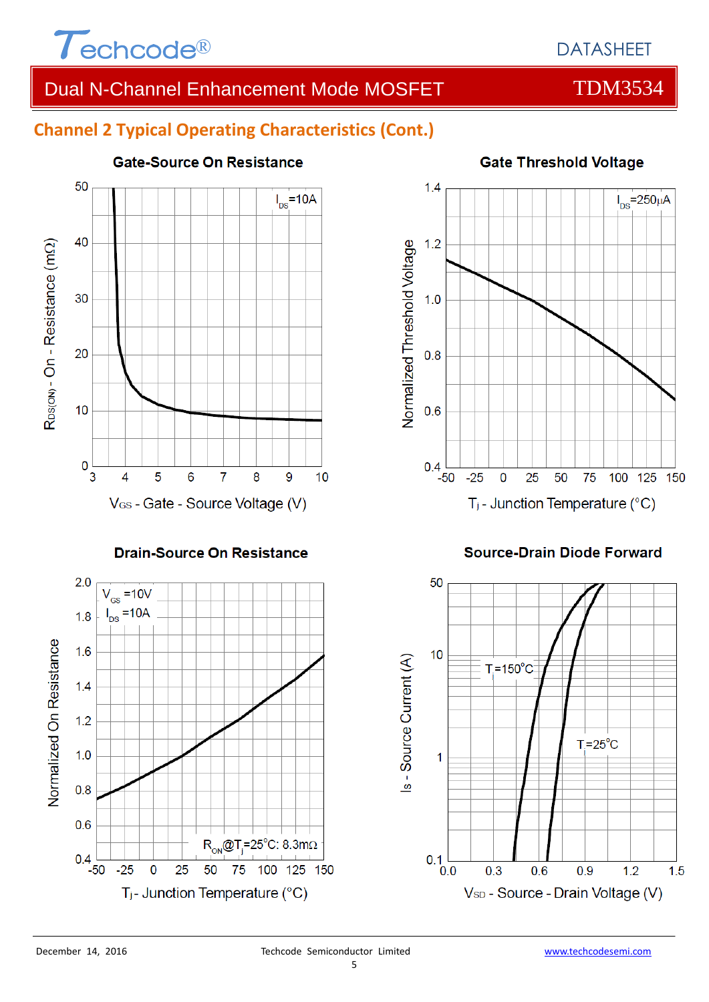

## DATASHEET

## Dual N-Channel Enhancement Mode MOSFET TEM3534

## **Channel 2 Typical Operating Characteristics (Cont.)**



#### **Drain-Source On Resistance**





#### **Source-Drain Diode Forward**



#### 5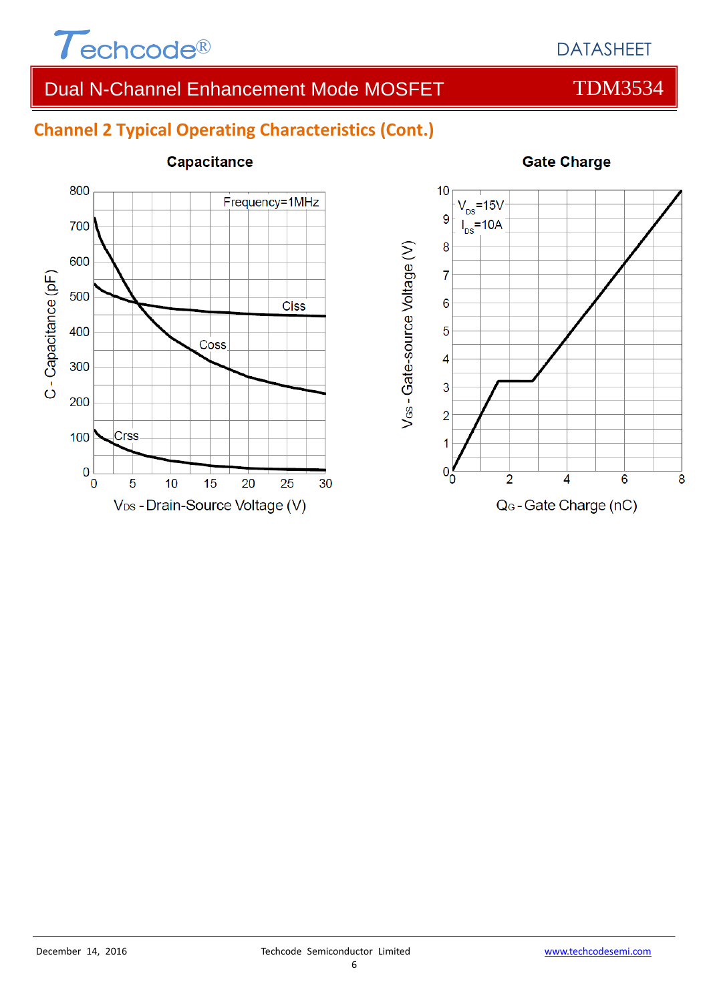

## Dual N-Channel Enhancement Mode MOSFET TDM3534

## **Channel 2 Typical Operating Characteristics (Cont.)**



### Capacitance

### **Gate Charge**

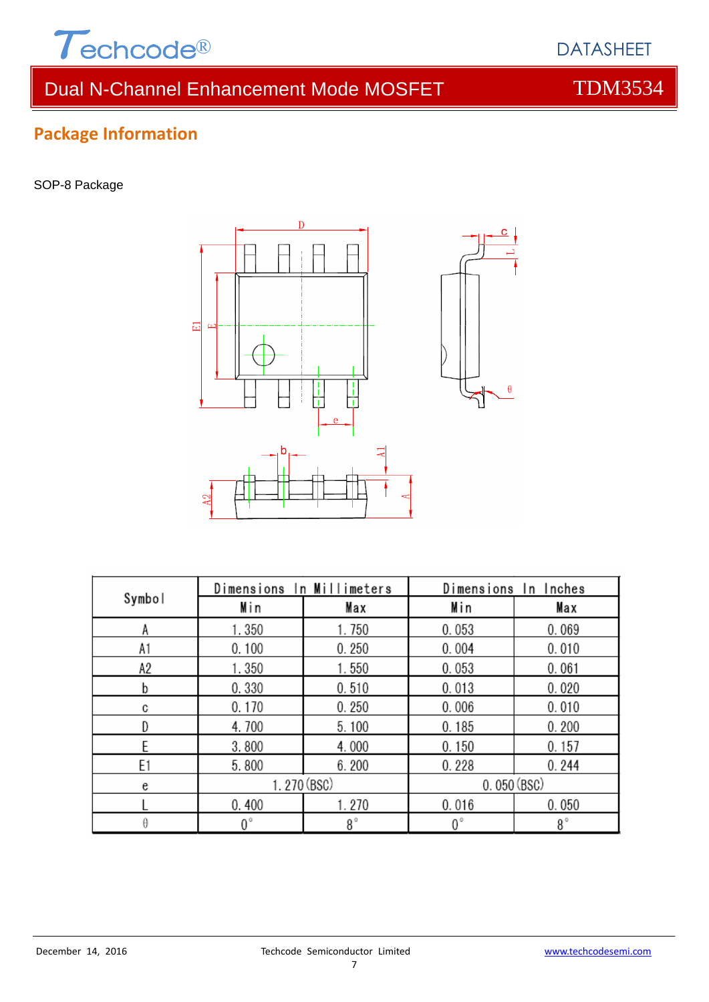

# Dual N-Channel Enhancement Mode MOSFET TDM3534

DATASHEET

## **Package Information**

SOP-8 Package



| Symbol | Dimensions In Millimeters |           | Dimensions In Inches |           |  |
|--------|---------------------------|-----------|----------------------|-----------|--|
|        | Min                       | Max       | Min                  | Max       |  |
| Α      | 1.350                     | 1.750     | 0.053                | 0.069     |  |
| A1     | 0.100                     | 0.250     | 0.004                | 0.010     |  |
| A2     | 1.350                     | 1.550     | 0.053                | 0.061     |  |
| b      | 0.330                     | 0.510     | 0.013                | 0.020     |  |
| C      | 0.170                     | 0.250     | 0.006                | 0.010     |  |
|        | 4.700                     | 5.100     | 0.185                | 0.200     |  |
|        | 3.800                     | 4.000     | 0.150                | 0.157     |  |
| E1     | 5.800                     | 6.200     | 0.228                | 0.244     |  |
| e      | 1.270 (BSC)               |           | 0.050(BSC)           |           |  |
|        | 0.400                     | 1.270     | 0.016                | 0.050     |  |
| θ      | $0^{\circ}$               | $8^\circ$ | $0^{\circ}$          | $8^\circ$ |  |